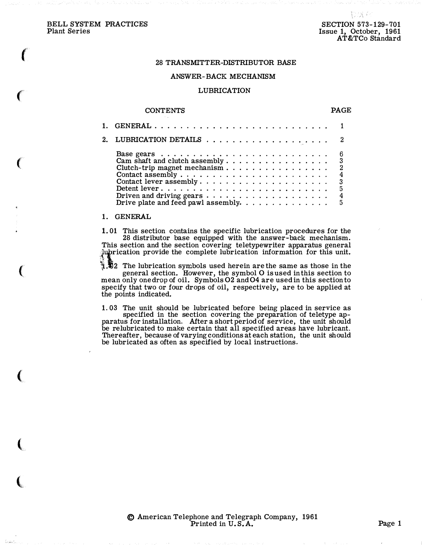f

 $\epsilon$ 

 $\big($ 

 $\left($ 

(

(

 $\big($ 

### 28 TRANSMITTER-DISTRIBUTOR BASE

#### ANSWER-BACK MECHANISM

### LUBRICATION

#### **CONTENTS**

### PAGE

| Cam shaft and clutch assembly 3<br>Clutch-trip magnet mechanism 2<br>Driven and driving gears $\dots \dots \dots \dots \dots \dots$<br>Drive plate and feed pawl assembly. | 6<br>$\overline{4}$<br>5<br>$\overline{4}$<br>5 |
|----------------------------------------------------------------------------------------------------------------------------------------------------------------------------|-------------------------------------------------|
|                                                                                                                                                                            |                                                 |

### 1. GENERAL

1. 01 This section contains the specific lubrication procedures for the 28 distributor base equipped with the answer-back mechanism. This section and the section covering teletypewriter apparatus general rication provide the complete lubrication information for this unit.

 $\frac{1}{2}$ . The lubrication symbols used herein are the same as those in the general section. However, the symbol 0 is used in this section to mean only one drop of oil. Symbols 02 and 04 are used in this section to specify that two or four drops of oil, respectively, are to be applied at the points indicated.

1. 03 The unit should be lubricated before being placed in service as specified in the section covering the preparation of teletype apparatus for installation. After a short period of service, the unit should be relubricated to make certain that all specified areas have lubricant. Thereafter, because of varying conditions at each station, the unit should be lubricated as often as specified by local instructions.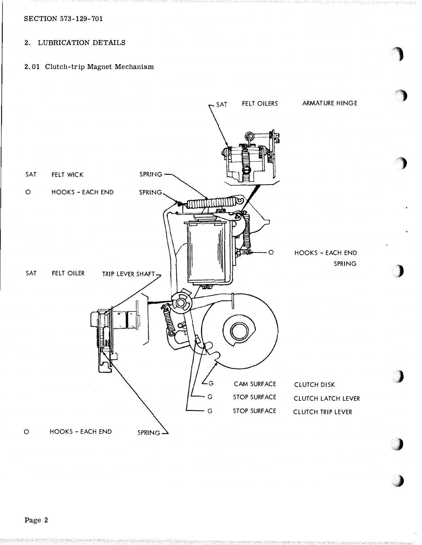SECTION 573-129-701

## 2. LUBRICATION DETAILS

2. 01 Clutch-trip Magnet Mechanism

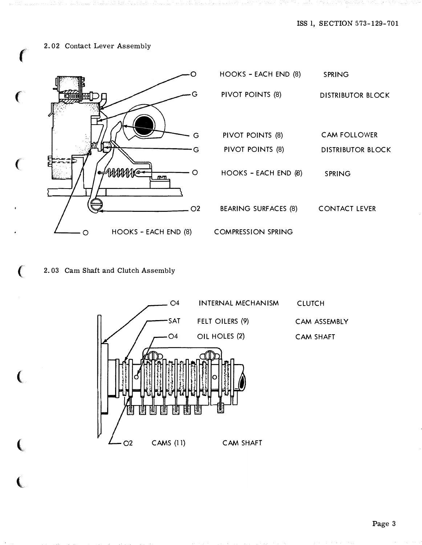## 2. 02 Contact Lever Assembly



| HOOKS - EACH END (8)        | <b>SPRING</b>        |  |  |
|-----------------------------|----------------------|--|--|
| PIVOT POINTS (8)            | DISTRIBUTOR BI OCK   |  |  |
|                             |                      |  |  |
| PIVOT POINTS (8)            | <b>CAM FOLLOWER</b>  |  |  |
| PIVOT POINTS (8)            | DISTRIBUTOR BLOCK    |  |  |
| HOOKS - EACH END (8)        | SPRING               |  |  |
| <b>BEARING SURFACES (8)</b> | <b>CONTACT LEVER</b> |  |  |
| <b>COMPRESSION SPRING</b>   |                      |  |  |

# 2. 03 Cam Shaft and Clutch Assembly

€



Page 3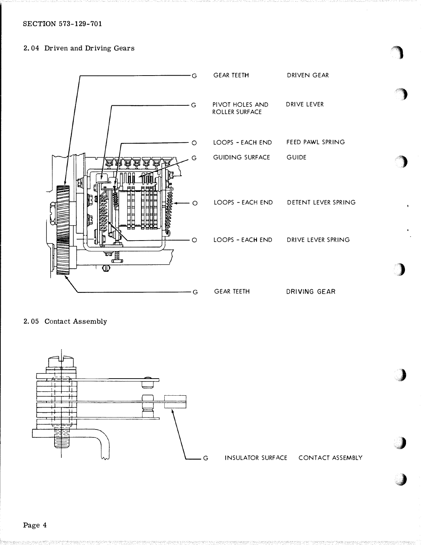## SECTION 573-129-701

### 2. 04 Driven and Driving Gears



2. 05 Contact Assembly



G INSULATOR SURFACE CONTACT ASSEMBLY

gang (

<'')

 $\begin{array}{c} \hline \end{array}$ 

)

}

 $\int$ 

J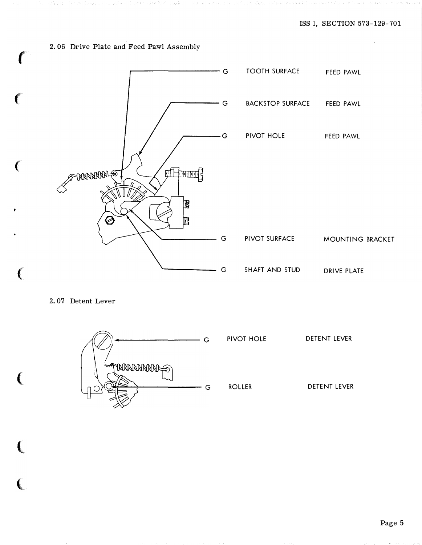# 2. 06 Drive Plate and Feed Pawl Assembly

f

(

(

 $\overline{(\}$ 

 $\left($ 

 $\big($